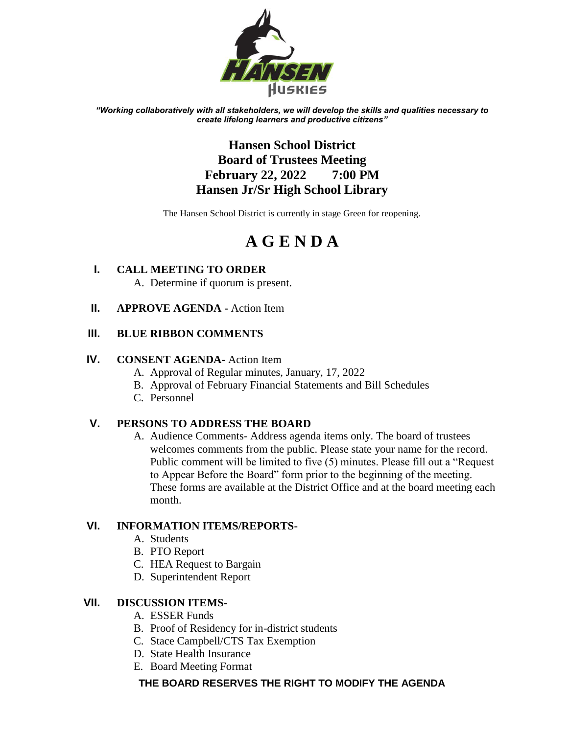

*"Working collaboratively with all stakeholders, we will develop the skills and qualities necessary to create lifelong learners and productive citizens"*

# **Hansen School District Board of Trustees Meeting February 22, 2022 7:00 PM Hansen Jr/Sr High School Library**

The Hansen School District is currently in stage Green for reopening.

# **A G E N D A**

- **I. CALL MEETING TO ORDER** A. Determine if quorum is present.
- **II. APPROVE AGENDA -** Action Item

# **III. BLUE RIBBON COMMENTS**

#### **IV. CONSENT AGENDA-** Action Item

- A. Approval of Regular minutes, January, 17, 2022
- B. Approval of February Financial Statements and Bill Schedules
- C. Personnel

# **V. PERSONS TO ADDRESS THE BOARD**

A. Audience Comments- Address agenda items only. The board of trustees welcomes comments from the public. Please state your name for the record. Public comment will be limited to five (5) minutes. Please fill out a "Request to Appear Before the Board" form prior to the beginning of the meeting. These forms are available at the District Office and at the board meeting each month.

# **VI. INFORMATION ITEMS/REPORTS-**

- A. Students
- B. PTO Report
- C. HEA Request to Bargain
- D. Superintendent Report

# **VII. DISCUSSION ITEMS-**

- A. ESSER Funds
- B. Proof of Residency for in-district students
- C. Stace Campbell/CTS Tax Exemption
- D. State Health Insurance
- E. Board Meeting Format

# **THE BOARD RESERVES THE RIGHT TO MODIFY THE AGENDA**